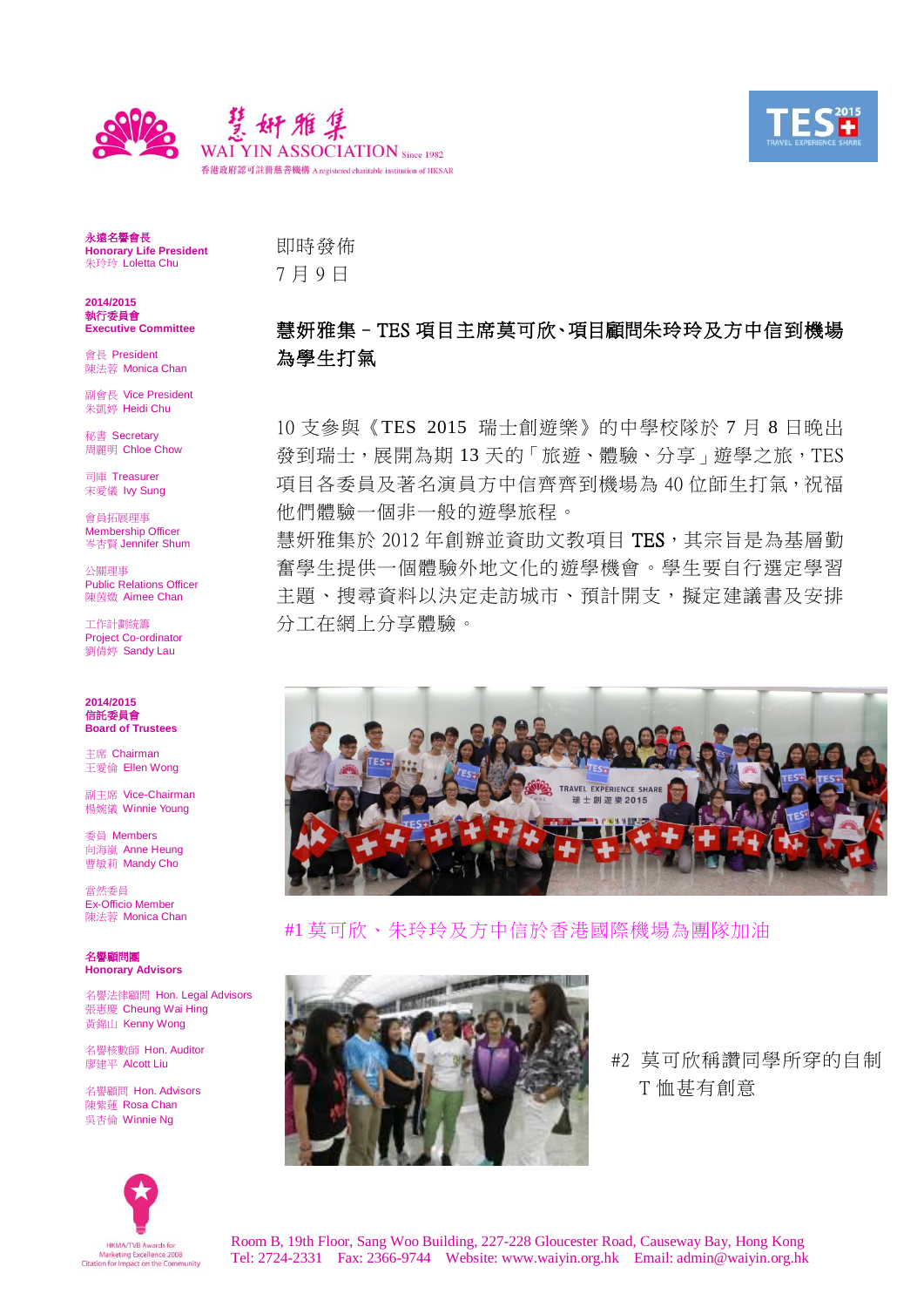



永遠名譽會長 **Honorary Life President** 朱玲玲 Loletta Chu

**2014/2015** 執行委員會 **Executive Committee**

會長 President 陳法蓉 Monica Chan

副會長 Vice President 朱凱婷 Heidi Chu

秘書 Secretary 周麗明 Chloe Chow

司庫 Treasurer 宋愛儀 Ivy Sung

會員拓展理事 Membership Officer 岑杏賢 Jennifer Shum

公關理事 Public Relations Officer 陳茵媺 Aimee Chan

工作計劃統籌 Project Co-ordinator 劉倩婷 Sandy Lau

**2014/2015** 信託委員會 **Board of Trustees**

主席 Chairman 王愛倫 Ellen Wong

副主席 Vice-Chairman 楊婉儀 Winnie Young

委員 Members 向海嵐 Anne Heung **曹敏莉 Mandy Cho** 

當然委員 Ex-Officio Member 陳法蓉 Monica Chan

名譽顧問團 **Honorary Advisors**

名譽法律顧問 Hon. Legal Advisors 張惠慶 Cheung Wai Hing 黃錦山 Kenny Wong

名譽核數師 Hon. Auditor 廖建平 Alcott Liu

名譽顧問 Hon. Advisors 陳紫蓮 Rosa Chan 吳杏倫 Winnie Ng



## 慧妍雅集–TES 項目主席莫可欣、項目顧問朱玲玲及方中信到機場 為學生打氣

10 支參與《TES 2015 瑞士創遊樂》的中學校隊於 7 月 8 日晚出 發到瑞士,展開為期13天的「旅遊、體驗、分享」遊學之旅,TES 項目各委員及著名演員方中信齊齊到機場為 40 位師生打氣,祝福 他們體驗一個非一般的遊學旅程。

慧妍雅集於 2012 年創辦並資助文教項目 TES, 其宗旨是為基層勤 奮學生提供一個體驗外地文化的遊學機會。學生要自行選定學習 主題、搜尋資料以決定走訪城市、預計開支,擬定建議書及安排 分工在網上分享體驗。



#1 莫可欣、朱玲玲及方中信於香港國際機場為團隊加油



#2 莫可欣稱讚同學所穿的自制 T 恤甚有創意